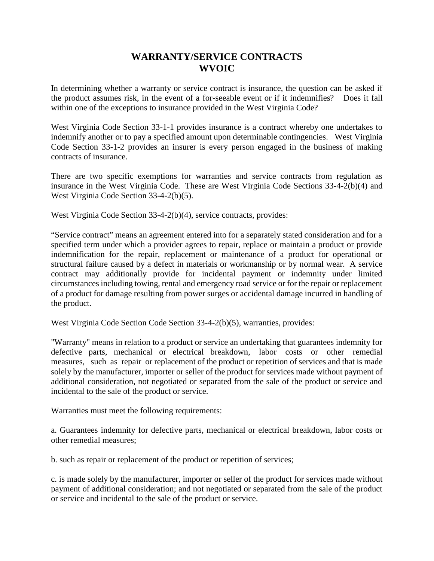## **WARRANTY/SERVICE CONTRACTS WVOIC**

In determining whether a warranty or service contract is insurance, the question can be asked if the product assumes risk, in the event of a for-seeable event or if it indemnifies? Does it fall within one of the exceptions to insurance provided in the West Virginia Code?

West Virginia Code Section 33-1-1 provides insurance is a contract whereby one undertakes to indemnify another or to pay a specified amount upon determinable contingencies. West Virginia Code Section 33-1-2 provides an insurer is every person engaged in the business of making contracts of insurance.

There are two specific exemptions for warranties and service contracts from regulation as insurance in the West Virginia Code. These are West Virginia Code Sections 33-4-2(b)(4) and West Virginia Code Section 33-4-2(b)(5).

West Virginia Code Section 33-4-2(b)(4), service contracts, provides:

"Service contract" means an agreement entered into for a separately stated consideration and for a specified term under which a provider agrees to repair, replace or maintain a product or provide indemnification for the repair, replacement or maintenance of a product for operational or structural failure caused by a defect in materials or workmanship or by normal wear. A service contract may additionally provide for incidental payment or indemnity under limited circumstances including towing, rental and emergency road service or for the repair or replacement of a product for damage resulting from power surges or accidental damage incurred in handling of the product.

West Virginia Code Section Code Section 33-4-2(b)(5), warranties, provides:

"Warranty" means in relation to a product or service an undertaking that guarantees indemnity for defective parts, mechanical or electrical breakdown, labor costs or other remedial measures, such as repair or replacement of the product or repetition of services and that is made solely by the manufacturer, importer or seller of the product for services made without payment of additional consideration, not negotiated or separated from the sale of the product or service and incidental to the sale of the product or service.

Warranties must meet the following requirements:

a. Guarantees indemnity for defective parts, mechanical or electrical breakdown, labor costs or other remedial measures;

b. such as repair or replacement of the product or repetition of services;

c. is made solely by the manufacturer, importer or seller of the product for services made without payment of additional consideration; and not negotiated or separated from the sale of the product or service and incidental to the sale of the product or service.